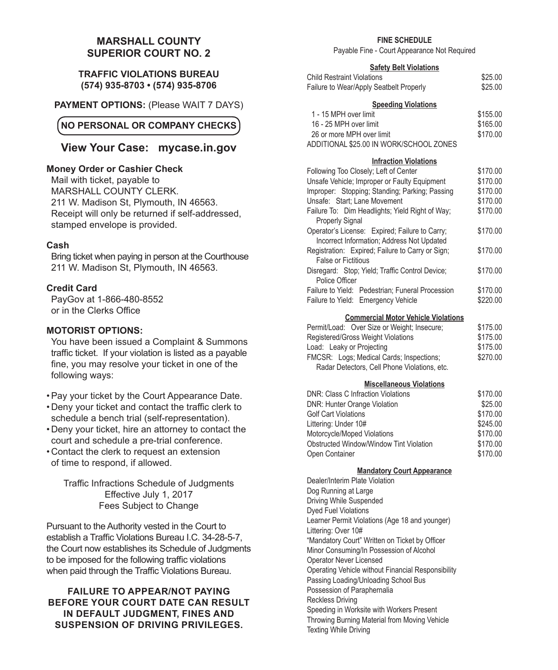# **MARSHALL COUNTY SUPERIOR COURT NO. 2**

### **TRAFFIC VIOLATIONS BUREAU (574) 935-8703 • (574) 935-8706**

**PAYMENT OPTIONS:** (Please WAIT 7 DAYS)

# **NO PERSONAL OR COMPANY CHECKS**

# **View Your Case: mycase.in.gov**

### **Money Order or Cashier Check**

Mail with ticket, payable to MARSHALL COUNTY CLERK. 211 W. Madison St, Plymouth, IN 46563. Receipt will only be returned if self-addressed, stamped envelope is provided.

### **Cash**

Bring ticket when paying in person at the Courthouse 211 W. Madison St, Plymouth, IN 46563.

### **Credit Card**

PayGov at 1-866-480-8552 or in the Clerks Office

#### **MOTORIST OPTIONS:**

You have been issued a Complaint & Summons traffic ticket. If your violation is listed as a payable fine, you may resolve your ticket in one of the following ways:

- •Pay your ticket by the Court Appearance Date.
- • Deny your ticket and contact the traffic clerk to schedule a bench trial (self-representation).
- Deny your ticket, hire an attorney to contact the court and schedule a pre-trial conference.
- Contact the clerk to request an extension of time to respond, if allowed.

Traffic Infractions Schedule of Judgments Effective July 1, 2017 Fees Subject to Change

Pursuant to the Authority vested in the Court to establish a Traffic Violations Bureau I.C. 34-28-5-7, the Court now establishes its Schedule of Judgments to be imposed for the following traffic violations when paid through the Traffic Violations Bureau.

### **FAILURE TO APPEAR/NOT PAYING BEFORE YOUR COURT DATE CAN RESULT IN DEFAULT JUDGMENT, FINES AND SUSPENSION OF DRIVING PRIVILEGES.**

#### **FINE SCHEDULE**

Payable Fine - Court Appearance Not Required

#### **Safety Belt Violations**

| <b>Child Restraint Violations</b>       | \$25.00  |
|-----------------------------------------|----------|
| Failure to Wear/Apply Seatbelt Properly | \$25.00  |
| <b>Speeding Violations</b>              |          |
| 1 - 15 MPH over limit                   | \$155.00 |
| 16 - 25 MPH over limit                  | \$165.00 |
| 26 or more MPH over limit               | \$170.00 |
| ADDITIONAL \$25.00 IN WORK/SCHOOL ZONES |          |

#### **Infraction Violations**

| Following Too Closely; Left of Center            | \$170.00 |
|--------------------------------------------------|----------|
| Unsafe Vehicle: Improper or Faulty Equipment     | \$170.00 |
| Improper: Stopping; Standing; Parking; Passing   | \$170.00 |
| Unsafe: Start; Lane Movement                     | \$170.00 |
| Failure To: Dim Headlights: Yield Right of Way;  | \$170.00 |
| <b>Properly Signal</b>                           |          |
| Operator's License: Expired; Failure to Carry;   | \$170.00 |
| Incorrect Information; Address Not Updated       |          |
| Registration: Expired; Failure to Carry or Sign; | \$170.00 |
| False or Fictitious                              |          |
| Disregard: Stop; Yield; Traffic Control Device;  | \$170.00 |
| Police Officer                                   |          |
| Failure to Yield: Pedestrian: Funeral Procession | \$170.00 |
| Failure to Yield: Emergency Vehicle              | \$220.00 |
|                                                  |          |

#### **Commercial Motor Vehicle Violations**

| Permit/Load: Over Size or Weight; Insecure:  | \$175.00 |
|----------------------------------------------|----------|
| Registered/Gross Weight Violations           | \$175.00 |
| Load: Leaky or Projecting                    | \$175.00 |
| FMCSR: Logs; Medical Cards; Inspections;     | \$270.00 |
| Radar Detectors, Cell Phone Violations, etc. |          |

#### **Miscellaneous Violations**

| <b>DNR: Class C Infraction Violations</b> | \$170.00 |
|-------------------------------------------|----------|
| <b>DNR: Hunter Orange Violation</b>       | \$25.00  |
| <b>Golf Cart Violations</b>               | \$170.00 |
| Littering: Under 10#                      | \$245.00 |
| Motorcycle/Moped Violations               | \$170.00 |
| Obstructed Window/Window Tint Violation   | \$170.00 |
| Open Container                            | \$170.00 |

#### **Mandatory Court Appearance**

Dealer/Interim Plate Violation Dog Running at Large Driving While Suspended Dyed Fuel Violations Learner Permit Violations (Age 18 and younger) Littering: Over 10# "Mandatory Court" Written on Ticket by Officer Minor Consuming/In Possession of Alcohol Operator Never Licensed Operating Vehicle without Financial Responsibility Passing Loading/Unloading School Bus Possession of Paraphernalia Reckless Driving Speeding in Worksite with Workers Present Throwing Burning Material from Moving Vehicle Texting While Driving